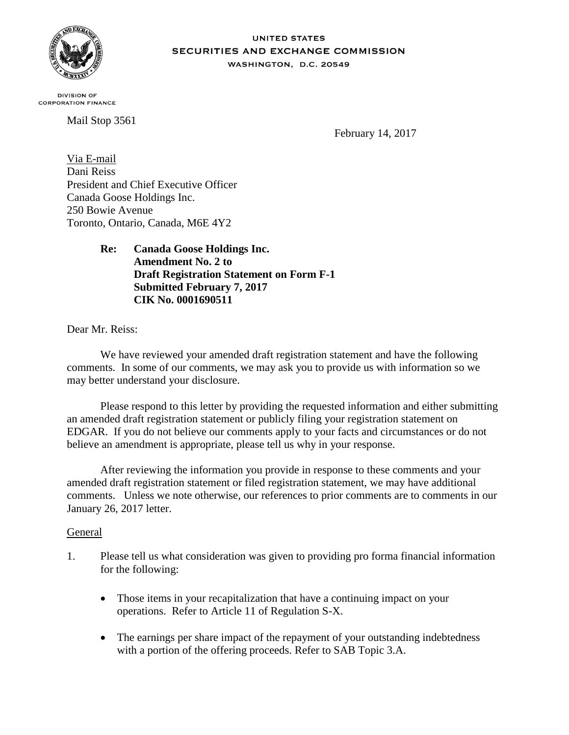

#### **UNITED STATES SECURITIES AND EXCHANGE COMMISSION** WASHINGTON, D.C. 20549

**DIVISION OF CORPORATION FINANCE** 

Mail Stop 3561

February 14, 2017

Via E-mail Dani Reiss President and Chief Executive Officer Canada Goose Holdings Inc. 250 Bowie Avenue Toronto, Ontario, Canada, M6E 4Y2

> **Re: Canada Goose Holdings Inc. Amendment No. 2 to Draft Registration Statement on Form F-1 Submitted February 7, 2017 CIK No. 0001690511**

Dear Mr. Reiss:

We have reviewed your amended draft registration statement and have the following comments. In some of our comments, we may ask you to provide us with information so we may better understand your disclosure.

Please respond to this letter by providing the requested information and either submitting an amended draft registration statement or publicly filing your registration statement on EDGAR. If you do not believe our comments apply to your facts and circumstances or do not believe an amendment is appropriate, please tell us why in your response.

After reviewing the information you provide in response to these comments and your amended draft registration statement or filed registration statement, we may have additional comments. Unless we note otherwise, our references to prior comments are to comments in our January 26, 2017 letter.

### General

- 1. Please tell us what consideration was given to providing pro forma financial information for the following:
	- Those items in your recapitalization that have a continuing impact on your operations. Refer to Article 11 of Regulation S-X.
	- The earnings per share impact of the repayment of your outstanding indebtedness with a portion of the offering proceeds. Refer to SAB Topic 3.A.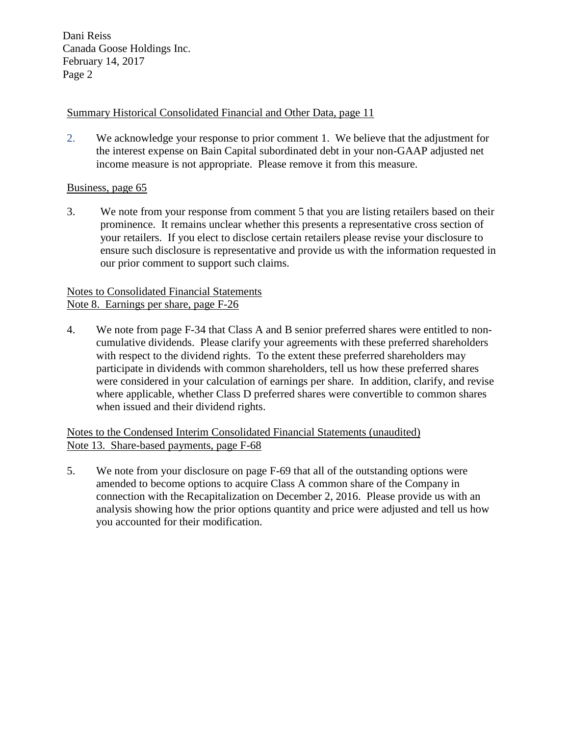Dani Reiss Canada Goose Holdings Inc. February 14, 2017 Page 2

# Summary Historical Consolidated Financial and Other Data, page 11

2. We acknowledge your response to prior comment 1. We believe that the adjustment for the interest expense on Bain Capital subordinated debt in your non-GAAP adjusted net income measure is not appropriate. Please remove it from this measure.

### Business, page 65

3. We note from your response from comment 5 that you are listing retailers based on their prominence. It remains unclear whether this presents a representative cross section of your retailers. If you elect to disclose certain retailers please revise your disclosure to ensure such disclosure is representative and provide us with the information requested in our prior comment to support such claims.

# Notes to Consolidated Financial Statements Note 8. Earnings per share, page F-26

4. We note from page F-34 that Class A and B senior preferred shares were entitled to noncumulative dividends. Please clarify your agreements with these preferred shareholders with respect to the dividend rights. To the extent these preferred shareholders may participate in dividends with common shareholders, tell us how these preferred shares were considered in your calculation of earnings per share. In addition, clarify, and revise where applicable, whether Class D preferred shares were convertible to common shares when issued and their dividend rights.

Notes to the Condensed Interim Consolidated Financial Statements (unaudited) Note 13. Share-based payments, page F-68

5. We note from your disclosure on page F-69 that all of the outstanding options were amended to become options to acquire Class A common share of the Company in connection with the Recapitalization on December 2, 2016. Please provide us with an analysis showing how the prior options quantity and price were adjusted and tell us how you accounted for their modification.